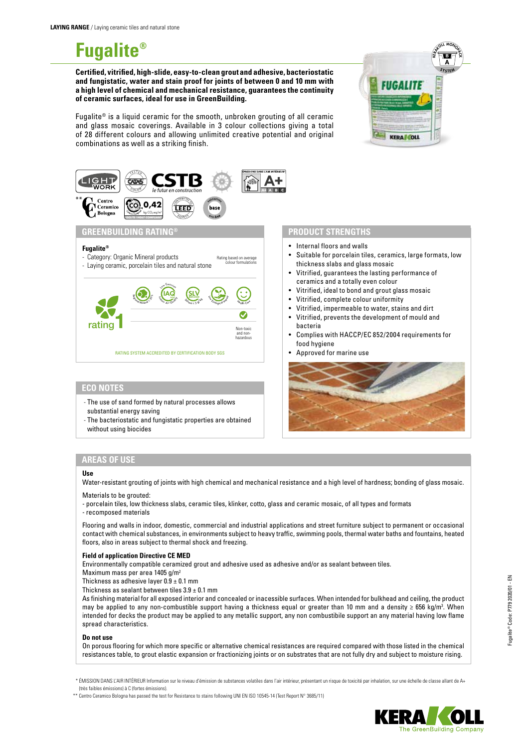# **Fugalite®**

**Certified, vitrified, high-slide, easy-to-clean grout and adhesive, bacteriostatic and fungistatic, water and stain proof for joints of between 0 and 10 mm with a high level of chemical and mechanical resistance, guarantees the continuity of ceramic surfaces, ideal for use in GreenBuilding.** 

Fugalite<sup>®</sup> is a liquid ceramic for the smooth, unbroken grouting of all ceramic and glass mosaic coverings. Available in 3 colour collections giving a total of 28 different colours and allowing unlimited creative potential and original combinations as well as a striking finish.





# **ECO NOTES**

- The use of sand formed by natural processes allows substantial energy saving
- The bacteriostatic and fungistatic properties are obtained without using biocides

### **PRODUCT STRENGTHS**

- Internal floors and walls
- Suitable for porcelain tiles, ceramics, large formats, low thickness slabs and glass mosaic
- Vitrified, guarantees the lasting performance of ceramics and a totally even colour
- Vitrified, ideal to bond and grout glass mosaic
- Vitrified, complete colour uniformity
- Vitrified, impermeable to water, stains and dirt
- Vitrified, prevents the development of mould and bacteria
- Complies with HACCP/EC 852/2004 requirements for food hygiene
- Approved for marine use



# **AREAS OF USE**

#### **Use**

Water-resistant grouting of joints with high chemical and mechanical resistance and a high level of hardness; bonding of glass mosaic.

## Materials to be grouted:

- porcelain tiles, low thickness slabs, ceramic tiles, klinker, cotto, glass and ceramic mosaic, of all types and formats - recomposed materials

Flooring and walls in indoor, domestic, commercial and industrial applications and street furniture subject to permanent or occasional contact with chemical substances, in environments subject to heavy traffic, swimming pools, thermal water baths and fountains, heated floors, also in areas subject to thermal shock and freezing.

#### **Field of application Directive CE MED**

Environmentally compatible ceramized grout and adhesive used as adhesive and/or as sealant between tiles.

Maximum mass per area 1405 g/m2

Thickness as adhesive layer  $0.9 \pm 0.1$  mm

Thickness as sealant between tiles  $3.9 \pm 0.1$  mm

As finishing material for all exposed interior and concealed or inacessible surfaces. When intended for bulkhead and ceiling, the product may be applied to any non-combustible support having a thickness equal or greater than 10 mm and a density ≥ 656 kg/m<sup>3</sup>. When intended for decks the product may be applied to any metallic support, any non combustibile support an any material having low flame spread characteristics.

#### **Do not use**

On porous flooring for which more specific or alternative chemical resistances are required compared with those listed in the chemical resistances table, to grout elastic expansion or fractionizing joints or on substrates that are not fully dry and subject to moisture rising.

\* ÉMISSION DANS L'AIR INTÉRIEUR Information sur le niveau d'émission de substances volatiles dans l'air intérieur, présentant un risque de toxicité par inhalation, sur une échelle de classe allant de A+ (très faibles émissions) à C (fortes émissions).

\*\* Centro Ceramico Bologna has passed the test for Resistance to stains following UNI EN ISO 10545-14 (Test Report N° 3685/11)

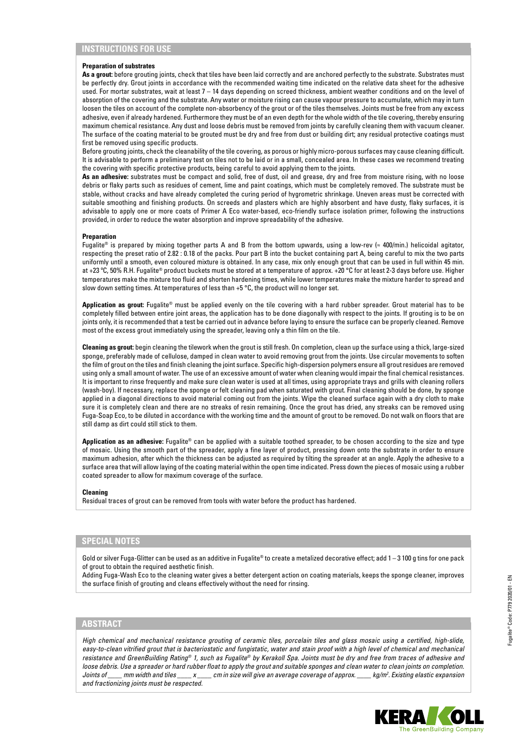#### **Preparation of substrates**

As a grout: before grouting joints, check that tiles have been laid correctly and are anchored perfectly to the substrate. Substrates must be perfectly dry. Grout joints in accordance with the recommended waiting time indicated on the relative data sheet for the adhesive used. For mortar substrates, wait at least 7 – 14 days depending on screed thickness, ambient weather conditions and on the level of absorption of the covering and the substrate. Any water or moisture rising can cause vapour pressure to accumulate, which may in turn loosen the tiles on account of the complete non-absorbency of the grout or of the tiles themselves. Joints must be free from any excess adhesive, even if already hardened. Furthermore they must be of an even depth for the whole width of the tile covering, thereby ensuring maximum chemical resistance. Any dust and loose debris must be removed from joints by carefully cleaning them with vacuum cleaner. The surface of the coating material to be grouted must be dry and free from dust or building dirt; any residual protective coatings must first be removed using specific products.

Before grouting joints, check the cleanability of the tile covering, as porous or highly micro-porous surfaces may cause cleaning difficult. It is advisable to perform a preliminary test on tiles not to be laid or in a small, concealed area. In these cases we recommend treating the covering with specific protective products, being careful to avoid applying them to the joints.

**As an adhesive:** substrates must be compact and solid, free of dust, oil and grease, dry and free from moisture rising, with no loose debris or flaky parts such as residues of cement, lime and paint coatings, which must be completely removed. The substrate must be stable, without cracks and have already completed the curing period of hygrometric shrinkage. Uneven areas must be corrected with suitable smoothing and finishing products. On screeds and plasters which are highly absorbent and have dusty, flaky surfaces, it is advisable to apply one or more coats of Primer A Eco water-based, eco-friendly surface isolation primer, following the instructions provided, in order to reduce the water absorption and improve spreadability of the adhesive.

#### **Preparation**

Fugalite® is prepared by mixing together parts A and B from the bottom upwards, using a low-rev ( $\approx$  400/min.) helicoidal agitator, respecting the preset ratio of 2.82 : 0.18 of the packs. Pour part B into the bucket containing part A, being careful to mix the two parts uniformly until a smooth, even coloured mixture is obtained. In any case, mix only enough grout that can be used in full within 45 min. at +23 ºC, 50% R.H. Fugalite® product buckets must be stored at a temperature of approx. +20 °C for at least 2-3 days before use. Higher temperatures make the mixture too fluid and shorten hardening times, while lower temperatures make the mixture harder to spread and slow down setting times. At temperatures of less than +5 °C, the product will no longer set.

**Application as grout:** Fugalite® must be applied evenly on the tile covering with a hard rubber spreader. Grout material has to be completely filled between entire joint areas, the application has to be done diagonally with respect to the joints. If grouting is to be on joints only, it is recommended that a test be carried out in advance before laying to ensure the surface can be properly cleaned. Remove most of the excess grout immediately using the spreader, leaving only a thin film on the tile.

**Cleaning as grout:** begin cleaning the tilework when the grout is still fresh. On completion, clean up the surface using a thick, large-sized sponge, preferably made of cellulose, damped in clean water to avoid removing grout from the joints. Use circular movements to soften the film of grout on the tiles and finish cleaning the joint surface. Specific high-dispersion polymers ensure all grout residues are removed using only a small amount of water. The use of an excessive amount of water when cleaning would impair the final chemical resistances. It is important to rinse frequently and make sure clean water is used at all times, using appropriate trays and grills with cleaning rollers (wash-boy). If necessary, replace the sponge or felt cleaning pad when saturated with grout. Final cleaning should be done, by sponge applied in a diagonal directions to avoid material coming out from the joints. Wipe the cleaned surface again with a dry cloth to make sure it is completely clean and there are no streaks of resin remaining. Once the grout has dried, any streaks can be removed using Fuga-Soap Eco, to be diluted in accordance with the working time and the amount of grout to be removed. Do not walk on floors that are still damp as dirt could still stick to them.

**Application as an adhesive:** Fugalite® can be applied with a suitable toothed spreader, to be chosen according to the size and type of mosaic. Using the smooth part of the spreader, apply a fine layer of product, pressing down onto the substrate in order to ensure maximum adhesion, after which the thickness can be adjusted as required by tilting the spreader at an angle. Apply the adhesive to a surface area that will allow laying of the coating material within the open time indicated. Press down the pieces of mosaic using a rubber coated spreader to allow for maximum coverage of the surface.

#### **Cleaning**

Residual traces of grout can be removed from tools with water before the product has hardened.

## **SPECIAL NOTES**

Gold or silver Fuga-Glitter can be used as an additive in Fugalite® to create a metalized decorative effect; add 1 – 3 100 g tins for one pack of grout to obtain the required aesthetic finish.

Adding Fuga-Wash Eco to the cleaning water gives a better detergent action on coating materials, keeps the sponge cleaner, improves the surface finish of grouting and cleans effectively without the need for rinsing.

# **ABSTRACT**

*High chemical and mechanical resistance grouting of ceramic tiles, porcelain tiles and glass mosaic using a certified, high-slide,*  easy-to-clean vitrified grout that is bacteriostatic and fungistatic, water and stain proof with a high level of chemical and mechanical *resistance and GreenBuilding Rating® 1, such as Fugalite® by Kerakoll Spa. Joints must be dry and free from traces of adhesive and loose debris. Use a spreader or hard rubber float to apply the grout and suitable sponges and clean water to clean joints on completion. Joints of \_\_\_\_ mm width and tiles \_\_\_\_ x \_\_\_\_ cm in size will give an average coverage of approx. \_\_\_\_ kg/m2 . Existing elastic expansion and fractionizing joints must be respected.*

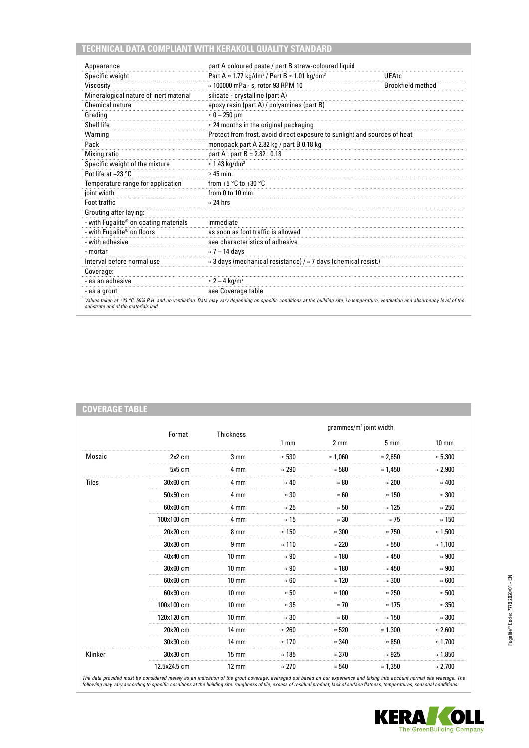# **TECHNICAL DATA COMPLIANT WITH KERAKOLL QUALITY STANDARD**

| Appearance                                           | part A coloured paste / part B straw-coloured liquid                                                                                                                               |                          |
|------------------------------------------------------|------------------------------------------------------------------------------------------------------------------------------------------------------------------------------------|--------------------------|
| Specific weight                                      | Part A $\approx$ 1.77 kg/dm <sup>3</sup> / Part B $\approx$ 1.01 kg/dm <sup>3</sup>                                                                                                | UEAtc                    |
| Viscosity                                            | $\approx$ 100000 mPa $\cdot$ s, rotor 93 RPM 10                                                                                                                                    | <b>Brookfield method</b> |
| Mineralogical nature of inert material               | silicate - crystalline (part A)                                                                                                                                                    |                          |
| Chemical nature                                      | epoxy resin (part A) / polyamines (part B)                                                                                                                                         |                          |
| Grading                                              | $\approx 0-250$ µm                                                                                                                                                                 |                          |
| Shelf life                                           | $\approx$ 24 months in the original packaging                                                                                                                                      |                          |
| Warning                                              | Protect from frost, avoid direct exposure to sunlight and sources of heat                                                                                                          |                          |
| Pack                                                 | monopack part A 2.82 kg / part B 0.18 kg                                                                                                                                           |                          |
| Mixing ratio                                         | part A : part B = $2.82 : 0.18$                                                                                                                                                    |                          |
| Specific weight of the mixture                       | $\approx$ 1.43 kg/dm <sup>3</sup>                                                                                                                                                  |                          |
| Pot life at $+23$ °C                                 | $\geq 45$ min.                                                                                                                                                                     |                          |
| Temperature range for application                    | from $+5 °C$ to $+30 °C$                                                                                                                                                           |                          |
| joint width                                          | from 0 to 10 mm                                                                                                                                                                    |                          |
| <b>Foot traffic</b>                                  | $\approx$ 24 hrs                                                                                                                                                                   |                          |
| Grouting after laying:                               |                                                                                                                                                                                    |                          |
| - with Fugalite <sup>®</sup> on coating materials    | immediate                                                                                                                                                                          |                          |
| - with Fugalite <sup>®</sup> on floors               | as soon as foot traffic is allowed                                                                                                                                                 |                          |
| - with adhesive                                      | see characteristics of adhesive                                                                                                                                                    |                          |
| - mortar                                             | $\approx$ 7 - 14 days                                                                                                                                                              |                          |
| Interval before normal use                           | $\approx$ 3 days (mechanical resistance) / $\approx$ 7 days (chemical resist.)                                                                                                     |                          |
| Coverage:                                            |                                                                                                                                                                                    |                          |
| - as an adhesive                                     | $\approx$ 2 – 4 kg/m <sup>2</sup>                                                                                                                                                  |                          |
|                                                      | see Coverage table                                                                                                                                                                 |                          |
| - as a grout<br>substrate and of the materials laid. | Values taken at +23 °C, 50% R.H. and no ventilation. Data may vary depending on specific conditions at the building site, i.e.temperature, ventilation and absorbency level of the |                          |

| <b>COVERAGE TABLE</b> |              |                  |                 |                                    |                 |                 |
|-----------------------|--------------|------------------|-----------------|------------------------------------|-----------------|-----------------|
|                       |              |                  |                 | grammes/m <sup>2</sup> joint width |                 |                 |
|                       | Format       | <b>Thickness</b> | 1 <sub>mm</sub> | 2 <sub>mm</sub>                    | 5 <sub>mm</sub> | $10 \text{ mm}$ |
| Mosaic                | $2x2$ cm     | $3 \, \text{mm}$ | $\approx 530$   | $\approx 1,060$                    | $\approx 2,650$ | $\approx 5,300$ |
|                       | 5x5 cm       | 4 mm             | $\approx 290$   | $\approx 580$                      | $\approx 1,450$ | $\approx 2,900$ |
| Tiles                 | 30x60 cm     | 4 mm             | $\approx 40$    | $\approx 80$                       | $\approx 200$   | $\approx 400$   |
|                       | 50x50 cm     | 4 mm             | $\approx 30$    | $\approx 60$                       | $\approx 150$   | $\approx 300$   |
|                       | 60x60 cm     | 4 mm             | $\approx 25$    | $\approx 50$                       | $\approx$ 125   | $\approx 250$   |
|                       | 100x100 cm   | 4 mm             | $\approx$ 15    | $\approx 30$                       | $\approx$ 75    | $\approx 150$   |
|                       | 20x20 cm     | 8 mm             | $\approx 150$   | $\approx 300$                      | $\approx$ 750   | $\approx 1,500$ |
|                       | 30x30 cm     | 9 <sub>mm</sub>  | $\approx 110$   | $\approx 220$                      | $\approx 550$   | $\approx 1,100$ |
|                       | 40x40 cm     | $10 \text{ mm}$  | $\approx 90$    | $\approx 180$                      | $\approx 450$   | $\approx 900$   |
|                       | 30x60 cm     | $10 \text{ mm}$  | $\approx 90$    | $\approx 180$                      | $\approx 450$   | $\approx 900$   |
|                       | 60x60 cm     | $10 \text{ mm}$  | $\approx 60$    | $\approx$ 120                      | $\approx 300$   | $\approx 600$   |
|                       | 60x90 cm     | $10 \text{ mm}$  | $\approx 50$    | $\approx 100$                      | $\approx 250$   | $\approx 500$   |
|                       | 100x100 cm   | $10 \text{ mm}$  | $\approx 35$    | $\approx$ 70                       | $\approx 175$   | $\approx 350$   |
|                       | 120x120 cm   | $10 \text{ mm}$  | $\approx 30$    | $\approx 60$                       | $\approx$ 150   | $\approx 300$   |
|                       | 20x20 cm     | $14 \text{ mm}$  | $\approx 260$   | $\approx 520$                      | $\approx 1.300$ | $\approx 2.600$ |
|                       | 30x30 cm     | $14 \text{ mm}$  | $\approx 170$   | $\approx 340$                      | $\approx 850$   | $\approx 1,700$ |
| Klinker               | 30x30 cm     | $15 \text{ mm}$  | $\approx 185$   | $\approx 370$                      | $\approx 925$   | $\approx 1,850$ |
|                       | 12.5x24.5 cm | $12 \text{ mm}$  | $\approx 270$   | $\approx 540$                      | $\approx 1,350$ | $\approx$ 2,700 |

The data provided must be considered merely as an indication of the grout coverage, averaged out based on our experience and taking into account normal site wastage. The<br>following may vary according to specific conditions

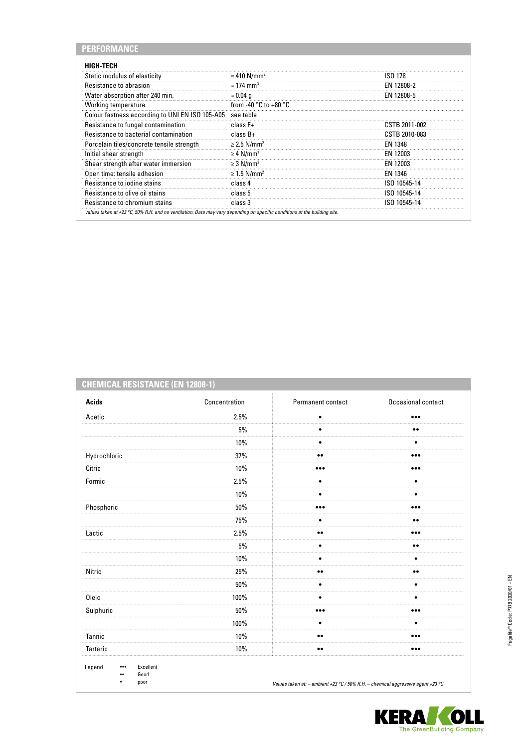| PERFORMANCE                                     |                                           |                |
|-------------------------------------------------|-------------------------------------------|----------------|
| <b>HIGH-TECH</b>                                |                                           |                |
| Static modulus of elasticity                    | $\approx$ 410 N/mm <sup>2</sup>           | ISO 178        |
| Resistance to abrasion                          | $\approx$ 174 mm <sup>3</sup>             | EN 12808-2     |
| Water absorption after 240 min.                 | $\approx 0.04$ g                          | EN 12808-5     |
| Working temperature                             | from -40 $^{\circ}$ C to +80 $^{\circ}$ C |                |
| Colour fastness according to UNI EN ISO 105-A05 | see table                                 |                |
| Resistance to fungal contamination              | class $F+$                                | CSTB 2011-002  |
| Resistance to bacterial contamination           | $class B+$                                | CSTB 2010-083  |
| Porcelain tiles/concrete tensile strength       | $\geq$ 2.5 N/mm <sup>2</sup>              | <b>FN 1348</b> |
| Initial shear strength                          | $\geq 4$ N/mm <sup>2</sup>                | EN 12003       |
| Shear strength after water immersion            | $\geq$ 3 N/mm <sup>2</sup>                | EN 12003       |
| Open time: tensile adhesion                     | $\geq$ 1.5 N/mm <sup>2</sup>              | EN 1346        |
| Resistance to jodine stains                     | class 4                                   | ISO 10545-14   |
| Resistance to olive oil stains                  | class 5                                   | ISO 10545-14   |
| Resistance to chromium stains                   | class 3                                   | ISO 10545-14   |

# **CHEMICAL RESISTANCE (EN 12808-1)**

| <b>Acids</b>                                                            | Concentration | Permanent contact                                                               | Occasional contact      |
|-------------------------------------------------------------------------|---------------|---------------------------------------------------------------------------------|-------------------------|
| Acetic                                                                  | 2.5%          | $\bullet$                                                                       |                         |
|                                                                         | 5%            | $\bullet$                                                                       | $\bullet\bullet$        |
|                                                                         | 10%           | ٠                                                                               | ٠                       |
| Hydrochloric                                                            | 37%           | $\bullet\bullet$                                                                | $\bullet\bullet\bullet$ |
| Citric                                                                  | 10%           | $\bullet\bullet\bullet$                                                         | $\bullet\bullet\bullet$ |
| Formic                                                                  | 2.5%          | $\bullet$                                                                       | $\bullet$               |
|                                                                         | 10%           | ٠                                                                               | ٠                       |
| Phosphoric                                                              | 50%           | $\bullet\bullet\bullet$                                                         |                         |
|                                                                         | 75%           | $\bullet$                                                                       | $\bullet\bullet$        |
| Lactic                                                                  | 2.5%          | $\bullet\bullet$                                                                |                         |
|                                                                         | 5%            | ٠                                                                               | $\bullet\bullet$        |
|                                                                         | $10\%$        | $\bullet$                                                                       | $\bullet$               |
| Nitric                                                                  | 25%           | $\bullet\bullet$                                                                | $\bullet\bullet$        |
|                                                                         | 50%           | $\bullet$                                                                       | $\bullet$               |
| Oleic                                                                   | 100%          | $\bullet$                                                                       | $\bullet$               |
| Sulphuric                                                               | 50%           |                                                                                 |                         |
|                                                                         | 100%          | $\bullet$                                                                       | ٠                       |
| Tannic                                                                  | 10%           | $\bullet\bullet$                                                                |                         |
| Tartaric                                                                | 10%           | $\bullet\bullet$                                                                |                         |
| Legend<br>Excellent<br>$\bullet\bullet\bullet$<br>Good<br><br>poor<br>٠ |               | Values taken at: - ambient +23 °C / 50% R.H. - chemical aggressive agent +23 °C |                         |

**KERA OLI**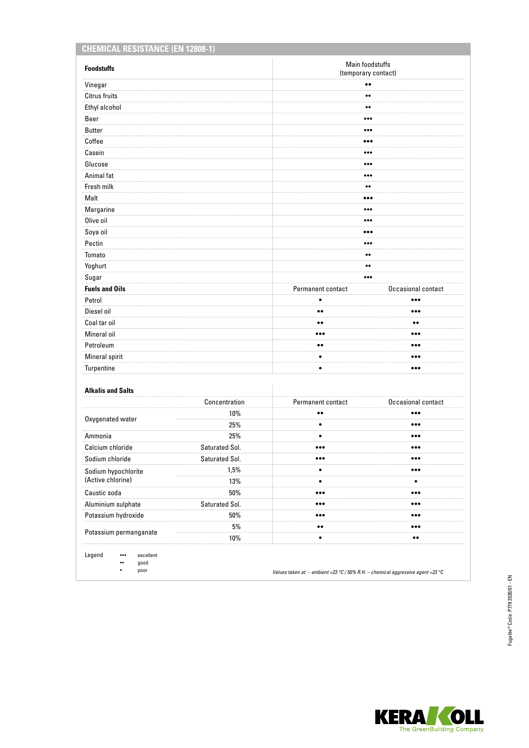| <b>CHEMICAL RESISTANCE (EN 12808-1)</b>  |                |                                        |                         |
|------------------------------------------|----------------|----------------------------------------|-------------------------|
| <b>Foodstuffs</b>                        |                | Main foodstuffs<br>(temporary contact) |                         |
| Vinegar                                  |                | $\bullet\bullet$                       |                         |
| <b>Citrus fruits</b>                     |                | $\bullet\bullet$                       |                         |
| Ethyl alcohol                            |                | $\bullet\bullet$                       |                         |
| Beer                                     |                | $\bullet\bullet\bullet$                |                         |
| <b>Butter</b>                            |                | $\bullet\bullet\bullet$                |                         |
| Coffee                                   |                |                                        |                         |
| Casein                                   |                | $\bullet\bullet\bullet$                |                         |
| Glucose                                  |                | $\bullet\bullet\bullet$                |                         |
| Animal fat                               |                | $\bullet\bullet\bullet$                |                         |
| Fresh milk                               |                | $\bullet\bullet$                       |                         |
| Malt                                     |                |                                        |                         |
| Margarine                                |                | $\bullet\bullet\bullet$                |                         |
| Olive oil                                |                | $\bullet\bullet\bullet$                |                         |
| Soya oil                                 |                |                                        |                         |
| Pectin                                   |                | $\bullet\bullet\bullet$                |                         |
| Tomato                                   |                | $\bullet\bullet$                       |                         |
| Yoghurt                                  |                | $\bullet\bullet$                       |                         |
| Sugar                                    |                | $\bullet\bullet\bullet$                |                         |
| <b>Fuels and Oils</b>                    |                | Permanent contact                      | Occasional contact      |
| Petrol                                   |                | $\bullet$                              |                         |
| Diesel oil                               |                | $\bullet\bullet$                       |                         |
| Coal tar oil                             |                | $\bullet\bullet$                       |                         |
| Mineral oil                              |                |                                        |                         |
| Petroleum                                |                | $\bullet\bullet$                       | $\bullet\bullet\bullet$ |
| Mineral spirit                           |                | ٠                                      | $\bullet\bullet\bullet$ |
| Turpentine                               |                | $\bullet$                              | $\bullet\bullet\bullet$ |
|                                          |                |                                        |                         |
| <b>Alkalis and Salts</b>                 |                |                                        |                         |
|                                          | Concentration  | Permanent contact                      | Occasional contact      |
| Oxygenated water                         | 10%<br>25%     | $\bullet$<br>٠                         | <br>                    |
|                                          |                |                                        |                         |
| Ammonia                                  | 25%            | ٠<br>$\bullet\bullet\bullet$           | $\bullet\bullet\bullet$ |
| Calcium chloride<br>Sodium chloride      | Saturated Sol. |                                        | $\bullet\bullet\bullet$ |
|                                          | Saturated Sol. | $\bullet\bullet\bullet$                | $\bullet\bullet\bullet$ |
| Sodium hypochlorite<br>(Active chlorine) | 1,5%           | $\bullet$                              | $\bullet\bullet\bullet$ |
|                                          | 13%            | ٠                                      | ٠                       |
| Caustic soda                             | 50%            | $\bullet\bullet\bullet$                | $\bullet\bullet\bullet$ |
| Aluminium sulphate                       | Saturated Sol. | $\bullet\bullet\bullet$                |                         |
| Potassium hydroxide                      | 50%            | $\bullet\bullet\bullet$                | $\bullet\bullet\bullet$ |
| Potassium permanganate                   | 5%             | $\bullet\bullet$                       | $\bullet\bullet\bullet$ |
|                                          | 10%            | ٠                                      |                         |

Legend ••• excellent

•• good • poor

*Values taken at: – ambient +23 °C / 50% R.H. – chemical aggressive agent +23 °C*

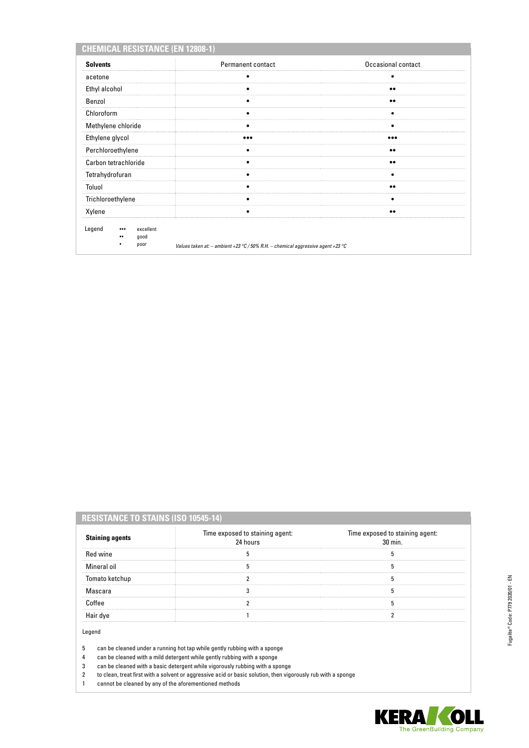| <b>CHEMICAL RESISTANCE (EN 12808-1)</b>                            |                                                                                     |                    |
|--------------------------------------------------------------------|-------------------------------------------------------------------------------------|--------------------|
| <b>Solvents</b>                                                    | <b>Permanent contact</b>                                                            | Occasional contact |
| acetone                                                            |                                                                                     |                    |
| Ethyl alcohol                                                      | ٠                                                                                   |                    |
| Benzol                                                             |                                                                                     | $\bullet\bullet$   |
| Chloroform                                                         |                                                                                     |                    |
| Methylene chloride                                                 |                                                                                     |                    |
| Ethylene glycol                                                    |                                                                                     |                    |
| Perchloroethylene                                                  |                                                                                     | $\bullet\bullet$   |
| Carbon tetrachloride                                               |                                                                                     | $\bullet\bullet$   |
| Tetrahydrofuran                                                    |                                                                                     |                    |
| Toluol                                                             |                                                                                     |                    |
| Trichloroethylene                                                  |                                                                                     |                    |
| Xylene                                                             |                                                                                     | $\bullet\bullet$   |
| Legend<br>excellent<br>$\bullet\bullet\bullet$<br>good<br><br>poor | Values taken at: $-$ ambient +23 °C / 50% R.H. $-$ chemical aggressive agent +23 °C |                    |

# **RESISTANCE TO STAINS (ISO 10545-14)**

| <b>Staining agents</b> | Time exposed to staining agent:<br>24 hours | Time exposed to staining agent:<br>$30 \text{ min}$ |
|------------------------|---------------------------------------------|-----------------------------------------------------|
| Red wine               |                                             |                                                     |
| Mineral oil            |                                             |                                                     |
| Tomato ketchup         |                                             |                                                     |
| Mascara                |                                             |                                                     |
|                        |                                             |                                                     |
|                        |                                             |                                                     |

Legend

5 can be cleaned under a running hot tap while gently rubbing with a sponge

4 can be cleaned with a mild detergent while gently rubbing with a sponge

3 can be cleaned with a basic detergent while vigorously rubbing with a sponge 2 to clean, treat first with a solvent or aggressive acid or basic solution, then vigorously rub with a sponge

1 cannot be cleaned by any of the aforementioned methods